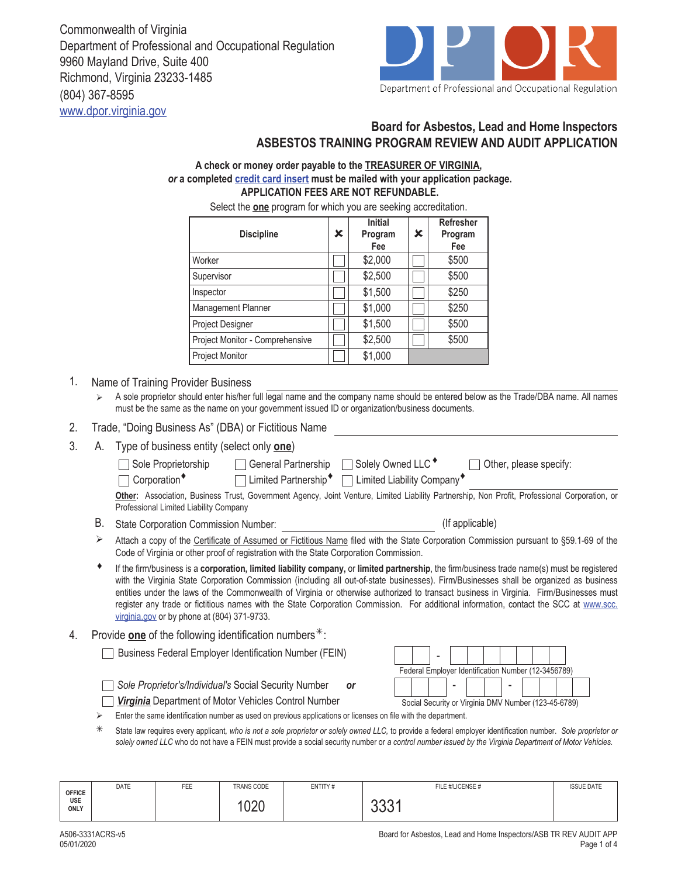Commonwealth of Virginia Department of Professional and Occupational Regulation 9960 Mayland Drive, Suite 400 Richmond, Virginia 23233-1485 (804) 367-8595 www.dpor.virginia.gov



# **Board for Asbestos, Lead and Home Inspectors ASBESTOS TRAINING PROGRAM REVIEW AND AUDIT APPLICATION**

### **A check or money order payable to the TREASURER OF VIRGINIA,**  *or* **a completed credit card insert must be mailed with your application package. APPLICATION FEES ARE NOT REFUNDABLE.**

Select the **one** program for which you are seeking accreditation.

| <b>Discipline</b>               | x | <b>Initial</b><br>Program<br>Fee | x | <b>Refresher</b><br>Program<br>Fee |
|---------------------------------|---|----------------------------------|---|------------------------------------|
| Worker                          |   | \$2,000                          |   | \$500                              |
| Supervisor                      |   | \$2,500                          |   | \$500                              |
| Inspector                       |   | \$1,500                          |   | \$250                              |
| <b>Management Planner</b>       |   | \$1,000                          |   | \$250                              |
| Project Designer                |   | \$1,500                          |   | \$500                              |
| Project Monitor - Comprehensive |   | \$2,500                          |   | \$500                              |
| Project Monitor                 |   | \$1,000                          |   |                                    |

### 1. Name of Training Provider Business

 A sole proprietor should enter his/her full legal name and the company name should be entered below as the Trade/DBA name. All names must be the same as the name on your government issued ID or organization/business documents.

#### 2. Trade, "Doing Business As" (DBA) or Fictitious Name

3. A. Type of business entity (select only **one**)

| Sole Proprietorship                                | □ General Partnership | $\Box$ Solely Owned LLC $^\bullet$                       | $\Box$ Other, please specify:                                                                                                                 |
|----------------------------------------------------|-----------------------|----------------------------------------------------------|-----------------------------------------------------------------------------------------------------------------------------------------------|
| $\Box$ Corporation <sup><math>\bullet</math></sup> |                       | □ Limited Partnership [ $\Box$ Limited Liability Company |                                                                                                                                               |
|                                                    |                       |                                                          | Other: Association, Business Trust, Government Agency, Joint Venture, Limited Liability Partnership, Non Profit, Professional Corporation, or |
| Professional Limited Liability Company             |                       |                                                          |                                                                                                                                               |

B. State Corporation Commission Number: (If applicable)

Attach a copy of the Certificate of Assumed or Fictitious Name filed with the State Corporation Commission pursuant to §59.1-69 of the Code of Virginia or other proof of registration with the State Corporation Commission.  $\blacktriangleright$ 

- ♦ If the firm/business is a **corporation, limited liability company,** or **limited partnership**, the firm/business trade name(s) must be registered with the Virginia State Corporation Commission (including all out-of-state businesses). Firm/Businesses shall be organized as business entities under the laws of the Commonwealth of Virginia or otherwise authorized to transact business in Virginia. Firm/Businesses must register any trade or fictitious names with the State Corporation Commission. For additional information, contact the SCC at www.scc. virginia.gov or by phone at (804) 371-9733.
- 4. Provide **one** of the following identification numbers<sup>\*</sup>:

**Business Federal Employer Identification Number (FEIN)** 

*Sole Proprietor's/Individual's* Social Security Number *or Virginia* Department of Motor Vehicles Control Number

| Federal Employer Identification Number (12-3456789)  |  |  |  |  |
|------------------------------------------------------|--|--|--|--|
|                                                      |  |  |  |  |
| Social Security or Virginia DMV Number (123-45-6789) |  |  |  |  |

 $\triangleright$  Enter the same identification number as used on previous applications or licenses on file with the department.

 State law requires every applicant*, who is not a sole proprietor or solely owned LLC,* to provide a federal employer identification number. *Sole proprietor or solely owned LLC* who do not have a FEIN must provide a social security number or *a control number issued by the Virginia Department of Motor Vehicles.*

| <b>OFFICE</b> | DATE | <b>FEE</b> | <b>TRANS CODE</b> | ENTITY# | FILE #/LICENSE #            | <b>ISSUE DATE</b> |
|---------------|------|------------|-------------------|---------|-----------------------------|-------------------|
| USE<br>ONLY   |      |            | nnr<br>◡∠◡        |         | $\bigcap \bigcap A$<br>ししいエ |                   |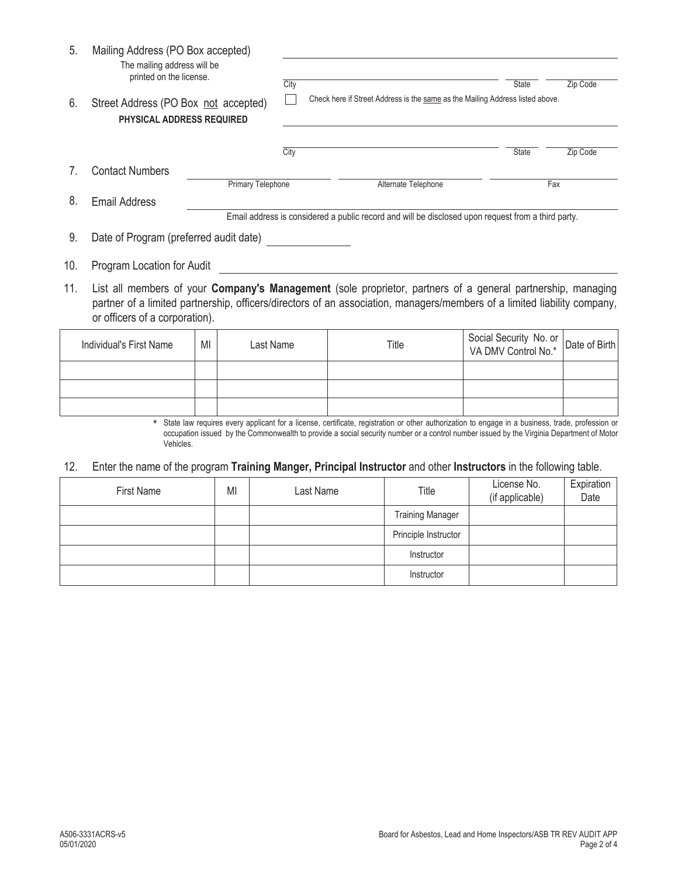| 5.  | Mailing Address (PO Box accepted)<br>The mailing address will be<br>printed on the license. |                   |      |                                                                                                    |              |          |
|-----|---------------------------------------------------------------------------------------------|-------------------|------|----------------------------------------------------------------------------------------------------|--------------|----------|
|     |                                                                                             |                   | City |                                                                                                    | <b>State</b> | Zip Code |
| 6.  | Street Address (PO Box not accepted)<br><b>PHYSICAL ADDRESS REQUIRED</b>                    |                   |      | Check here if Street Address is the same as the Mailing Address listed above.                      |              |          |
|     |                                                                                             |                   | City |                                                                                                    | <b>State</b> | Zip Code |
|     | <b>Contact Numbers</b>                                                                      |                   |      |                                                                                                    |              |          |
|     |                                                                                             | Primary Telephone |      | Alternate Telephone                                                                                |              | Fax      |
| 8.  | <b>Email Address</b>                                                                        |                   |      |                                                                                                    |              |          |
|     |                                                                                             |                   |      | Email address is considered a public record and will be disclosed upon request from a third party. |              |          |
| 9.  | Date of Program (preferred audit date)                                                      |                   |      |                                                                                                    |              |          |
| 10. | Program Location for Audit                                                                  |                   |      |                                                                                                    |              |          |
|     |                                                                                             |                   |      |                                                                                                    |              |          |

List all members of your **Company's Management** (sole proprietor, partners of a general partnership, managing 11. partner of a limited partnership, officers/directors of an association, managers/members of a limited liability company, or officers of a corporation).

| Individual's First Name | MI | Last Name | Title | Social Security No. or<br>  VA DMV Control No.* Date of Birth |  |
|-------------------------|----|-----------|-------|---------------------------------------------------------------|--|
|                         |    |           |       |                                                               |  |
|                         |    |           |       |                                                               |  |
|                         |    |           |       |                                                               |  |

\* State law requires every applicant for a license, certificate, registration or other authorization to engage in a business, trade, profession or occupation issued by the Commonwealth to provide a social security number or a control number issued by the Virginia Department of Motor Vehicles.

12. Enter the name of the program **Training Manger, Principal Instructor** and other **Instructors** in the following table.

| First Name | MI | Title<br>Last Name |                         | License No.<br>(if applicable) | Expiration<br>Date |
|------------|----|--------------------|-------------------------|--------------------------------|--------------------|
|            |    |                    | <b>Training Manager</b> |                                |                    |
|            |    |                    | Principle Instructor    |                                |                    |
|            |    |                    | Instructor              |                                |                    |
|            |    |                    | Instructor              |                                |                    |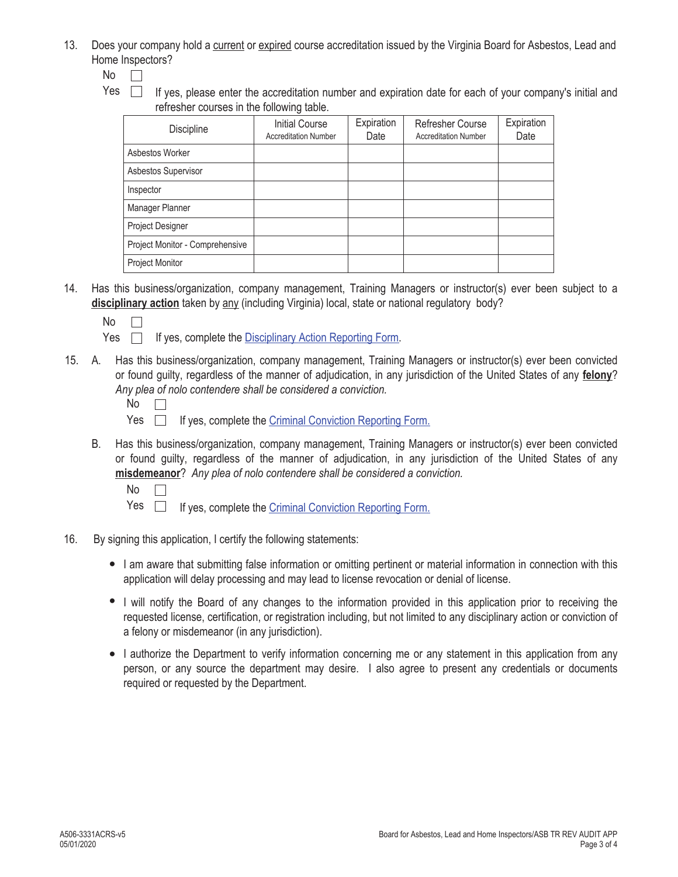13. Does your company hold a current or expired course accreditation issued by the Virginia Board for Asbestos, Lead and Home Inspectors?

 $No$   $\Box$ 

Yes  $\Box$  If yes, please enter the accreditation number and expiration date for each of your company's initial and refresher courses in the following table.

| <b>Discipline</b>               | <b>Initial Course</b><br><b>Accreditation Number</b> | Expiration<br>Date | <b>Refresher Course</b><br><b>Accreditation Number</b> | Expiration<br>Date |
|---------------------------------|------------------------------------------------------|--------------------|--------------------------------------------------------|--------------------|
| Asbestos Worker                 |                                                      |                    |                                                        |                    |
| Asbestos Supervisor             |                                                      |                    |                                                        |                    |
| Inspector                       |                                                      |                    |                                                        |                    |
| Manager Planner                 |                                                      |                    |                                                        |                    |
| Project Designer                |                                                      |                    |                                                        |                    |
| Project Monitor - Comprehensive |                                                      |                    |                                                        |                    |
| Project Monitor                 |                                                      |                    |                                                        |                    |

- 14. Has this business/organization, company management, Training Managers or instructor(s) ever been subject to a **disciplinary action** taken by any (including Virginia) local, state or national regulatory body?
	- No
	- Yes  $\Box$  If yes, complete the Disciplinary Action Reporting Form.
- A. Has this business/organization, company management, Training Managers or instructor(s) ever been convicted 15. or found guilty, regardless of the manner of adjudication, in any jurisdiction of the United States of any **felony**? *Any plea of nolo contendere shall be considered a conviction.*

- Yes  $\Box$  If yes, complete the Criminal Conviction Reporting Form.
- B. Has this business/organization, company management, Training Managers or instructor(s) ever been convicted or found guilty, regardless of the manner of adjudication, in any jurisdiction of the United States of any **misdemeanor**? *Any plea of nolo contendere shall be considered a conviction.*

No  $\Box$ 

- Yes  $\Box$  If yes, complete the Criminal Conviction Reporting Form.
- 16. By signing this application, I certify the following statements:
	- I am aware that submitting false information or omitting pertinent or material information in connection with this application will delay processing and may lead to license revocation or denial of license.
	- I will notify the Board of any changes to the information provided in this application prior to receiving the requested license, certification, or registration including, but not limited to any disciplinary action or conviction of a felony or misdemeanor (in any jurisdiction).
	- I authorize the Department to verify information concerning me or any statement in this application from any person, or any source the department may desire. I also agree to present any credentials or documents required or requested by the Department.

No  $\overline{\phantom{a}}$